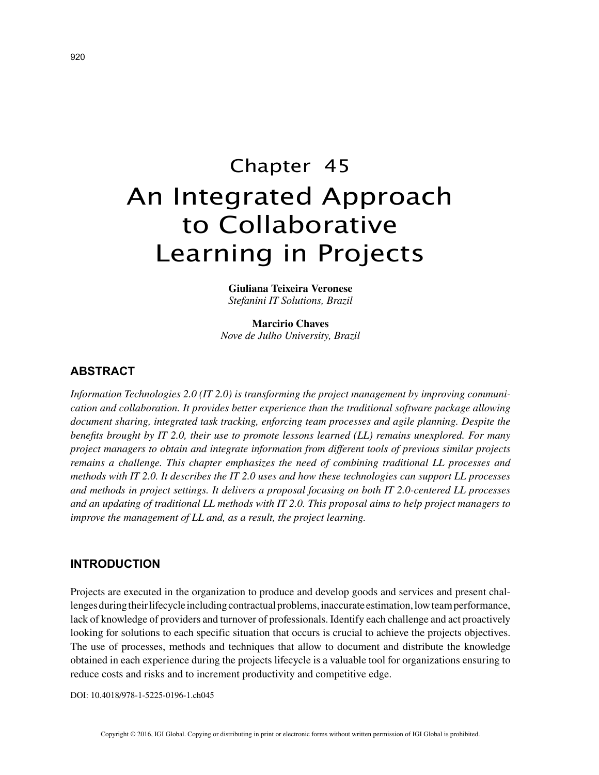# Chapter 45 An Integrated Approach to Collaborative Learning in Projects

**Giuliana Teixeira Veronese** *Stefanini IT Solutions, Brazil*

**Marcirio Chaves** *Nove de Julho University, Brazil*

# **ABSTRACT**

*Information Technologies 2.0 (IT 2.0) is transforming the project management by improving communication and collaboration. It provides better experience than the traditional software package allowing document sharing, integrated task tracking, enforcing team processes and agile planning. Despite the benefits brought by IT 2.0, their use to promote lessons learned (LL) remains unexplored. For many project managers to obtain and integrate information from different tools of previous similar projects remains a challenge. This chapter emphasizes the need of combining traditional LL processes and methods with IT 2.0. It describes the IT 2.0 uses and how these technologies can support LL processes and methods in project settings. It delivers a proposal focusing on both IT 2.0-centered LL processes and an updating of traditional LL methods with IT 2.0. This proposal aims to help project managers to improve the management of LL and, as a result, the project learning.*

## **INTRODUCTION**

Projects are executed in the organization to produce and develop goods and services and present challenges during their lifecycle including contractual problems, inaccurate estimation, low team performance, lack of knowledge of providers and turnover of professionals. Identify each challenge and act proactively looking for solutions to each specific situation that occurs is crucial to achieve the projects objectives. The use of processes, methods and techniques that allow to document and distribute the knowledge obtained in each experience during the projects lifecycle is a valuable tool for organizations ensuring to reduce costs and risks and to increment productivity and competitive edge.

DOI: 10.4018/978-1-5225-0196-1.ch045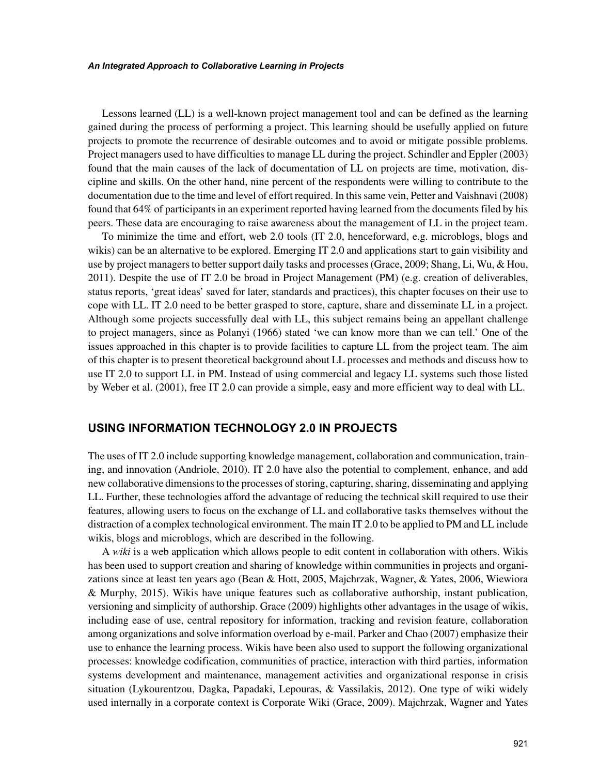*An Integrated Approach to Collaborative Learning in Projects*

Lessons learned (LL) is a well-known project management tool and can be defined as the learning gained during the process of performing a project. This learning should be usefully applied on future projects to promote the recurrence of desirable outcomes and to avoid or mitigate possible problems. Project managers used to have difficulties to manage LL during the project. Schindler and Eppler (2003) found that the main causes of the lack of documentation of LL on projects are time, motivation, discipline and skills. On the other hand, nine percent of the respondents were willing to contribute to the documentation due to the time and level of effort required. In this same vein, Petter and Vaishnavi (2008) found that 64% of participants in an experiment reported having learned from the documents filed by his peers. These data are encouraging to raise awareness about the management of LL in the project team.

To minimize the time and effort, web 2.0 tools (IT 2.0, henceforward, e.g. microblogs, blogs and wikis) can be an alternative to be explored. Emerging IT 2.0 and applications start to gain visibility and use by project managers to better support daily tasks and processes (Grace, 2009; Shang, Li, Wu, & Hou, 2011). Despite the use of IT 2.0 be broad in Project Management (PM) (e.g. creation of deliverables, status reports, 'great ideas' saved for later, standards and practices), this chapter focuses on their use to cope with LL. IT 2.0 need to be better grasped to store, capture, share and disseminate LL in a project. Although some projects successfully deal with LL, this subject remains being an appellant challenge to project managers, since as Polanyi (1966) stated 'we can know more than we can tell.' One of the issues approached in this chapter is to provide facilities to capture LL from the project team. The aim of this chapter is to present theoretical background about LL processes and methods and discuss how to use IT 2.0 to support LL in PM. Instead of using commercial and legacy LL systems such those listed by Weber et al. (2001), free IT 2.0 can provide a simple, easy and more efficient way to deal with LL.

## **USING INFORMATION TECHNOLOGY 2.0 IN PROJECTS**

The uses of IT 2.0 include supporting knowledge management, collaboration and communication, training, and innovation (Andriole, 2010). IT 2.0 have also the potential to complement, enhance, and add new collaborative dimensions to the processes of storing, capturing, sharing, disseminating and applying LL. Further, these technologies afford the advantage of reducing the technical skill required to use their features, allowing users to focus on the exchange of LL and collaborative tasks themselves without the distraction of a complex technological environment. The main IT 2.0 to be applied to PM and LL include wikis, blogs and microblogs, which are described in the following.

A *wiki* is a web application which allows people to edit content in collaboration with others. Wikis has been used to support creation and sharing of knowledge within communities in projects and organizations since at least ten years ago (Bean & Hott, 2005, Majchrzak, Wagner, & Yates, 2006, Wiewiora & Murphy, 2015). Wikis have unique features such as collaborative authorship, instant publication, versioning and simplicity of authorship. Grace (2009) highlights other advantages in the usage of wikis, including ease of use, central repository for information, tracking and revision feature, collaboration among organizations and solve information overload by e-mail. Parker and Chao (2007) emphasize their use to enhance the learning process. Wikis have been also used to support the following organizational processes: knowledge codification, communities of practice, interaction with third parties, information systems development and maintenance, management activities and organizational response in crisis situation (Lykourentzou, Dagka, Papadaki, Lepouras, & Vassilakis, 2012). One type of wiki widely used internally in a corporate context is Corporate Wiki (Grace, 2009). Majchrzak, Wagner and Yates